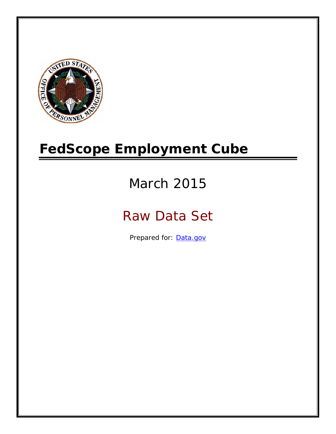

# **FedScope Employment Cube**

# March 2015

# Raw Data Set

Prepared for: [Data.gov](http://www.data.gov/)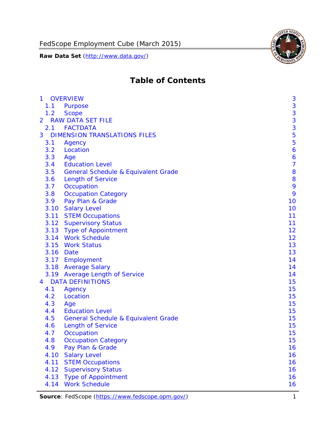

# **Table of Contents**

| $\mathbf{1}$   |      | <b>OVERVIEW</b>                                | 3              |
|----------------|------|------------------------------------------------|----------------|
|                | 1.1  | Purpose                                        | 3              |
|                | 1.2  | <b>Scope</b>                                   | 3              |
| $\overline{2}$ |      | <b>RAW DATA SET FILE</b>                       | 3              |
|                | 2.1  | <b>FACTDATA</b>                                | 3              |
| 3              |      | <b>DIMENSION TRANSLATIONS FILES</b>            | 5              |
|                | 3.1  | Agency                                         | 5              |
|                | 3.2  | Location                                       | 6              |
|                | 3.3  | Age                                            | 6              |
|                | 3.4  | <b>Education Level</b>                         | $\overline{7}$ |
|                | 3.5  | <b>General Schedule &amp; Equivalent Grade</b> | 8              |
|                | 3.6  | <b>Length of Service</b>                       | 8              |
|                | 3.7  | Occupation                                     | 9              |
|                | 3.8  | <b>Occupation Category</b>                     | 9              |
|                | 3.9  | Pay Plan & Grade                               | 10             |
|                | 3.10 | <b>Salary Level</b>                            | 10             |
|                | 3.11 | <b>STEM Occupations</b>                        | 11             |
|                |      | 3.12 Supervisory Status                        | 11             |
|                |      | 3.13 Type of Appointment                       | 12             |
|                |      | 3.14 Work Schedule                             | 12             |
|                | 3.15 | <b>Work Status</b>                             | 13             |
|                |      | 3.16 Date                                      | 13             |
|                |      | 3.17 Employment                                | 14             |
|                |      | 3.18 Average Salary                            | 14             |
|                | 3.19 | <b>Average Length of Service</b>               | 14             |
| $\overline{4}$ |      | <b>DATA DEFINITIONS</b>                        | 15             |
|                | 4.1  | Agency                                         | 15             |
|                | 4.2  | Location                                       | 15             |
|                | 4.3  | Age                                            | 15             |
|                | 4.4  | <b>Education Level</b>                         | 15             |
|                | 4.5  | <b>General Schedule &amp; Equivalent Grade</b> | 15             |
|                | 4.6  | <b>Length of Service</b>                       | 15             |
|                | 4.7  | Occupation                                     | 15             |
|                | 4.8  | <b>Occupation Category</b>                     | 15             |
|                | 4.9  | Pay Plan & Grade                               | 16             |
|                | 4.10 | <b>Salary Level</b>                            | 16             |
|                | 4.11 | <b>STEM Occupations</b>                        | 16             |
|                | 4.12 | <b>Supervisory Status</b>                      | 16             |
|                | 4.13 | <b>Type of Appointment</b>                     | 16             |
|                | 4.14 | <b>Work Schedule</b>                           | 16             |

Source: FedScope (https://www.fedscope.opm.gov/) 1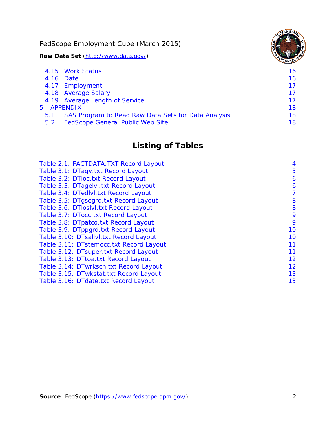FedScope Employment Cube (March 2015)

**Raw Data Set** (http://www.data.gov/)

|               | 4.15 Work Status                                    | 16 |
|---------------|-----------------------------------------------------|----|
|               | 4.16 Date                                           | 16 |
|               | 4.17 Employment                                     | 17 |
|               | 4.18 Average Salary                                 | 17 |
|               | 4.19 Average Length of Service                      | 17 |
|               | 5 APPENDIX                                          | 18 |
| 5.1           | SAS Program to Read Raw Data Sets for Data Analysis | 18 |
| $5.2^{\circ}$ | <b>FedScope General Public Web Site</b>             | 18 |

# **Listing of Tables**

| Table 2.1: FACTDATA.TXT Record Layout   | 4  |
|-----------------------------------------|----|
| Table 3.1: DTagy.txt Record Layout      | 5  |
| Table 3.2: DTloc.txt Record Layout      | 6  |
| Table 3.3: DTagelvl.txt Record Layout   | 6  |
| Table 3.4: DTedlvl.txt Record Layout    | 7  |
| Table 3.5: DTgsegrd.txt Record Layout   | 8  |
| Table 3.6: DTIoslyl.txt Record Layout   | 8  |
| Table 3.7: DTocc.txt Record Layout      | 9  |
| Table 3.8: DTpatco.txt Record Layout    | 9  |
| Table 3.9: DTppgrd.txt Record Layout    | 10 |
| Table 3.10: DTsallvl.txt Record Layout  | 10 |
| Table 3.11: DTstemocc.txt Record Layout | 11 |
| Table 3.12: DTsuper.txt Record Layout   | 11 |
| Table 3.13: DTtoa.txt Record Layout     | 12 |
| Table 3.14: DTwrksch.txt Record Layout  | 12 |
| Table 3.15: DTwkstat.txt Record Layout  | 13 |
| Table 3.16: DTdate.txt Record Layout    | 13 |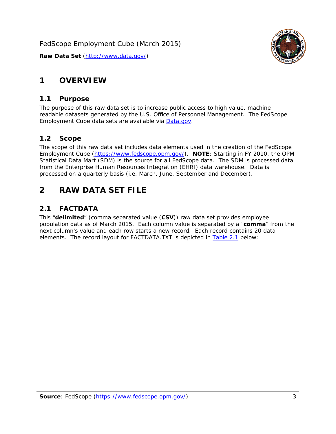

# <span id="page-3-0"></span>**1 OVERVIEW**

#### *1.1 Purpose*

<span id="page-3-1"></span>The purpose of this raw data set is to increase public access to high value, machine readable datasets generated by the U.S. Office of Personnel Management. The FedScope Employment Cube data sets are available via [Data.gov](http://www.data.gov/).

#### <span id="page-3-2"></span>*1.2 Scope*

The scope of this raw data set includes data elements used in the creation of the FedScope Employment Cube [\(https://www.fedscope.opm.gov/\)](https://www.fedscope.opm.gov/). **NOTE**: Starting in FY 2010, the OPM Statistical Data Mart (SDM) is the source for all FedScope data. The SDM is processed data from the Enterprise Human Resources Integration (EHRI) data warehouse. Data is processed on a quarterly basis (i.e. March, June, September and December).

# <span id="page-3-3"></span>**2 RAW DATA SET FILE**

# <span id="page-3-4"></span>*2.1 FACTDATA*

This "**delimited**" (comma separated value (**CSV**)) raw data set provides employee population data as of March 2015. Each column value is separated by a "**comma**" from the next column's value and each row starts a new record. Each record contains 20 data elements. The record layout for FACTDATA.TXT is depicted in [Table 2.1](#page-4-1) below: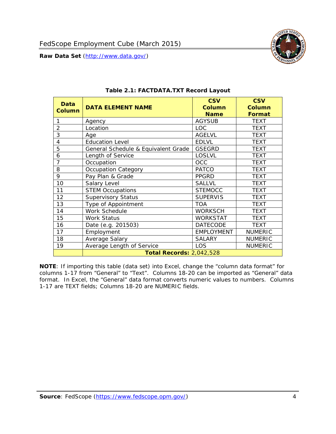

<span id="page-4-1"></span><span id="page-4-0"></span>

| <b>Data</b><br><b>Column</b> | <b>DATA ELEMENT NAME</b>            | <b>CSV</b><br><b>Column</b><br><b>Name</b> | <b>CSV</b><br><b>Column</b><br>Format |
|------------------------------|-------------------------------------|--------------------------------------------|---------------------------------------|
|                              | Agency                              | <b>AGYSUB</b>                              | <b>TEXT</b>                           |
| $\overline{2}$               | Location                            | LOC.                                       | <b>TEXT</b>                           |
| 3                            | Age                                 | <b>AGELVL</b>                              | <b>TEXT</b>                           |
| 4                            | <b>Education Level</b>              | <b>EDLVL</b>                               | <b>TEXT</b>                           |
| 5                            | General Schedule & Equivalent Grade | <b>GSEGRD</b>                              | <b>TEXT</b>                           |
| 6                            | Length of Service                   | <b>LOSLVL</b>                              | <b>TEXT</b>                           |
| 7                            | Occupation                          | OCC                                        | <b>TEXT</b>                           |
| 8                            | Occupation Category                 | <b>PATCO</b>                               | <b>TEXT</b>                           |
| 9                            | Pay Plan & Grade                    | <b>PPGRD</b>                               | <b>TEXT</b>                           |
| 10                           | Salary Level                        | <b>SALLVL</b>                              | <b>TEXT</b>                           |
| 11                           | <b>STEM Occupations</b>             | <b>STEMOCC</b>                             | <b>TEXT</b>                           |
| 12                           | <b>Supervisory Status</b>           | <b>SUPERVIS</b>                            | <b>TEXT</b>                           |
| 13                           | Type of Appointment                 | <b>TOA</b>                                 | <b>TEXT</b>                           |
| 14                           | Work Schedule                       | <b>WORKSCH</b>                             | <b>TEXT</b>                           |
| 15                           | <b>Work Status</b>                  | WORKSTAT                                   | <b>TEXT</b>                           |
| 16                           | Date (e.g. 201503)                  | <b>DATECODE</b>                            | <b>TEXT</b>                           |
| 17                           | Employment                          | <b>EMPLOYMENT</b>                          | <b>NUMERIC</b>                        |
| 18                           | Average Salary                      | <b>SALARY</b>                              | <b>NUMERIC</b>                        |
| 19                           | Average Length of Service           | LOS                                        | <b>NUMERIC</b>                        |
|                              | <b>Total Records: 2,042,528</b>     |                                            |                                       |

#### **Table 2.1: FACTDATA.TXT Record Layout**

**NOTE**: If importing this table (data set) into Excel, change the "column data format" for columns 1-17 from "General" to "Text". Columns 18-20 can be imported as "General" data format. In Excel, the "General" data format converts numeric values to numbers. Columns 1-17 are TEXT fields; Columns 18-20 are NUMERIC fields.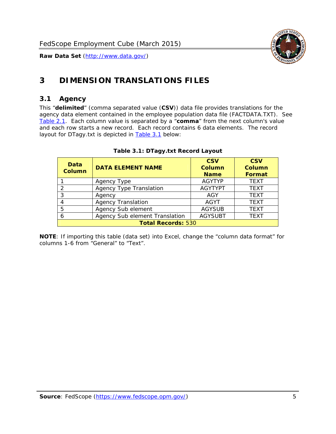

# <span id="page-5-0"></span>**3 DIMENSION TRANSLATIONS FILES**

### <span id="page-5-1"></span>*3.1 Agency*

<span id="page-5-3"></span><span id="page-5-2"></span>This "**delimited**" (comma separated value (**CSV**)) data file provides translations for the agency data element contained in the employee population data file (FACTDATA.TXT). See [Table 2.1.](#page-4-1) Each column value is separated by a "**comma**" from the next column's value and each row starts a new record. Each record contains 6 data elements. The record layout for DTagy.txt is depicted in **Table 3.1** below:

| Data<br><b>Column</b>     | <b>DATA ELEMENT NAME</b>       | <b>CSV</b><br><b>Column</b><br><b>Name</b> | <b>CSV</b><br>Column<br><b>Format</b> |
|---------------------------|--------------------------------|--------------------------------------------|---------------------------------------|
|                           | Agency Type                    | <b>AGYTYP</b>                              | <b>TEXT</b>                           |
| 2                         | <b>Agency Type Translation</b> | <b>AGYTYPT</b>                             | <b>TEXT</b>                           |
| 3                         | Agency                         | AGY                                        | <b>TEXT</b>                           |
|                           | <b>Agency Translation</b>      | <b>AGYT</b>                                | <b>TEXT</b>                           |
| -5                        | Agency Sub element             | <b>AGYSUB</b>                              | <b>TEXT</b>                           |
|                           | Agency Sub element Translation | <b>AGYSUBT</b>                             | <b>TEXT</b>                           |
| <b>Total Records: 530</b> |                                |                                            |                                       |

#### **Table 3.1: DTagy.txt Record Layout**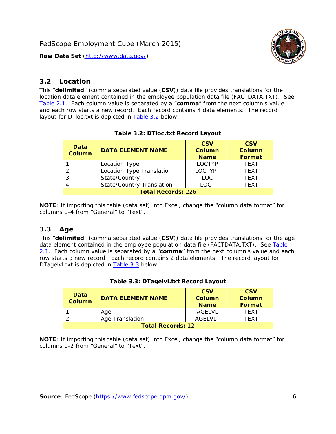

## <span id="page-6-0"></span>*3.2 Location*

<span id="page-6-4"></span><span id="page-6-2"></span>This "**delimited**" (comma separated value (**CSV**)) data file provides translations for the location data element contained in the employee population data file (FACTDATA.TXT). See [Table 2.1.](#page-4-1) Each column value is separated by a "**comma**" from the next column's value and each row starts a new record. Each record contains 4 data elements. The record layout for DTloc.txt is depicted in [Table 3.2](#page-6-4) below:

| Data<br><b>Column</b>     | <b>DATA ELEMENT NAME</b>         | <b>CSV</b><br><b>Column</b><br><b>Name</b> | <b>CSV</b><br><b>Column</b><br><b>Format</b> |
|---------------------------|----------------------------------|--------------------------------------------|----------------------------------------------|
|                           | Location Type                    | <b>LOCTYP</b>                              | <b>TEXT</b>                                  |
|                           | Location Type Translation        | <b>LOCTYPT</b>                             | <b>TFXT</b>                                  |
| ົ                         | State/Country                    | LOC.                                       | <b>TEXT</b>                                  |
|                           | <b>State/Country Translation</b> | LOCT                                       | <b>TFXT</b>                                  |
| <b>Total Records: 226</b> |                                  |                                            |                                              |

#### **Table 3.2: DTloc.txt Record Layout**

**NOTE**: If importing this table (data set) into Excel, change the "column data format" for columns 1-4 from "General" to "Text".

#### <span id="page-6-1"></span>*3.3 Age*

<span id="page-6-5"></span><span id="page-6-3"></span>This "**delimited**" (comma separated value (**CSV**)) data file provides translations for the age data element contained in the employee population data file (FACTDATA.TXT). See [Table](#page-4-1) [2.1](#page-4-1). Each column value is separated by a "**comma**" from the next column's value and each row starts a new record. Each record contains 2 data elements. The record layout for DTagelvl.txt is depicted in **[Table 3.3](#page-6-5)** below:

| Data<br><b>Column</b>    | <b>DATA ELEMENT NAME</b> | <b>CSV</b><br>Column<br><b>Name</b> | <b>CSV</b><br>Column<br><b>Format</b> |
|--------------------------|--------------------------|-------------------------------------|---------------------------------------|
|                          | Aae                      | AGFI VI                             | TFXT                                  |
|                          | Age Translation          | AGFI VI T                           | TFXT                                  |
| <b>Total Records: 12</b> |                          |                                     |                                       |

#### **Table 3.3: DTagelvl.txt Record Layout**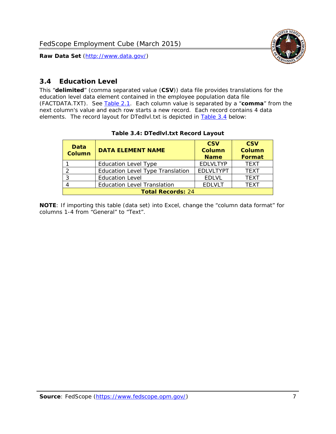

## <span id="page-7-0"></span>*3.4 Education Level*

<span id="page-7-2"></span><span id="page-7-1"></span>This "**delimited**" (comma separated value (**CSV**)) data file provides translations for the education level data element contained in the employee population data file (FACTDATA.TXT). See [Table 2.1](#page-4-1). Each column value is separated by a "**comma**" from the next column's value and each row starts a new record. Each record contains 4 data elements. The record layout for DTedlvl.txt is depicted in [Table 3.4](#page-7-2) below:

| Data<br><b>Column</b>    | <b>DATA ELEMENT NAME</b>                | <b>CSV</b><br><b>Column</b><br><b>Name</b> | <b>CSV</b><br><b>Column</b><br><b>Format</b> |
|--------------------------|-----------------------------------------|--------------------------------------------|----------------------------------------------|
|                          | <b>Education Level Type</b>             | <b>EDLVLTYP</b>                            | <b>TEXT</b>                                  |
|                          | <b>Education Level Type Translation</b> | <b>EDLVLTYPT</b>                           | <b>TEXT</b>                                  |
|                          | <b>Education Level</b>                  | <b>EDLVL</b>                               | <b>TEXT</b>                                  |
|                          | <b>Education Level Translation</b>      | <b>EDLVLT</b>                              | <b>TEXT</b>                                  |
| <b>Total Records: 24</b> |                                         |                                            |                                              |

#### **Table 3.4: DTedlvl.txt Record Layout**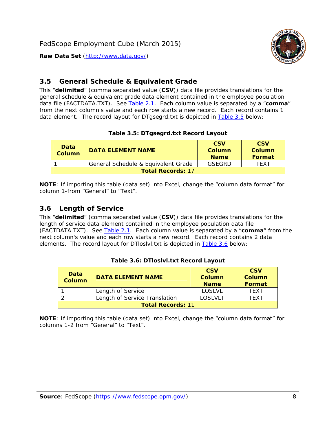

### <span id="page-8-0"></span>*3.5 General Schedule & Equivalent Grade*

This "**delimited**" (comma separated value (**CSV**)) data file provides translations for the general schedule & equivalent grade data element contained in the employee population data file (FACTDATA.TXT). See [Table 2.1](#page-4-1). Each column value is separated by a "**comma**" from the next column's value and each row starts a new record. Each record contains 1 data element. The record layout for DTgsegrd.txt is depicted in [Table 3.5](#page-8-4) below:

#### **Table 3.5: DTgsegrd.txt Record Layout**

<span id="page-8-4"></span><span id="page-8-2"></span>

| Data<br>Column           | DATA FI FMFNT NAMF                  | <b>CSV</b><br>Column<br><b>Name</b> | <b>CSV</b><br>Column<br>Format |
|--------------------------|-------------------------------------|-------------------------------------|--------------------------------|
|                          | General Schedule & Equivalent Grade | GSEGRD                              | TFXT                           |
| <b>Total Records: 17</b> |                                     |                                     |                                |

**NOTE**: If importing this table (data set) into Excel, change the "column data format" for column 1-from "General" to "Text".

#### <span id="page-8-1"></span>*3.6 Length of Service*

<span id="page-8-5"></span><span id="page-8-3"></span>This "**delimited**" (comma separated value (**CSV**)) data file provides translations for the length of service data element contained in the employee population data file (FACTDATA.TXT). See [Table 2.1](#page-4-1). Each column value is separated by a "**comma**" from the next column's value and each row starts a new record. Each record contains 2 data elements. The record layout for DTloslvl.txt is depicted in [Table 3.6](#page-8-5) below:

| Data<br><b>Column</b>    | <b>DATA ELEMENT NAME</b>      | <b>CSV</b><br><b>Column</b><br><b>Name</b> | <b>CSV</b><br>Column<br>Format |  |
|--------------------------|-------------------------------|--------------------------------------------|--------------------------------|--|
|                          | Length of Service             | LOSLVL                                     | TFXT                           |  |
|                          | Length of Service Translation | LOSI VLT                                   | TFXT                           |  |
| <b>Total Records: 11</b> |                               |                                            |                                |  |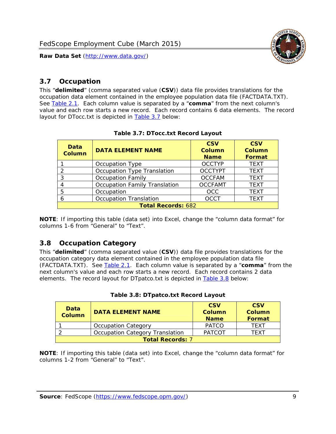

### <span id="page-9-0"></span>*3.7 Occupation*

<span id="page-9-4"></span>This "**delimited**" (comma separated value (**CSV**)) data file provides translations for the occupation data element contained in the employee population data file (FACTDATA.TXT). See [Table 2.1](#page-4-1). Each column value is separated by a "**comma**" from the next column's value and each row starts a new record. Each record contains 6 data elements. The record layout for DTocc.txt is depicted in [Table 3.7](#page-9-4) below:

<span id="page-9-2"></span>

| Data<br><b>Column</b>     | <b>DATA ELEMENT NAME</b>      | <b>CSV</b><br>Column<br><b>Name</b> | <b>CSV</b><br><b>Column</b><br><b>Format</b> |
|---------------------------|-------------------------------|-------------------------------------|----------------------------------------------|
|                           | Occupation Type               | <b>OCCTYP</b>                       | <b>TEXT</b>                                  |
|                           | Occupation Type Translation   | <b>OCCTYPT</b>                      | <b>TEXT</b>                                  |
| 3                         | <b>Occupation Family</b>      | <b>OCCFAM</b>                       | <b>TEXT</b>                                  |
|                           | Occupation Family Translation | <b>OCCFAMT</b>                      | <b>TEXT</b>                                  |
| 5                         | Occupation                    | <b>OCC</b>                          | <b>TEXT</b>                                  |
|                           | <b>Occupation Translation</b> | <b>OCCT</b>                         | <b>TEXT</b>                                  |
| <b>Total Records: 682</b> |                               |                                     |                                              |

#### **Table 3.7: DTocc.txt Record Layout**

**NOTE**: If importing this table (data set) into Excel, change the "column data format" for columns 1-6 from "General" to "Text".

#### <span id="page-9-1"></span>*3.8 Occupation Category*

<span id="page-9-5"></span>This "**delimited**" (comma separated value (**CSV**)) data file provides translations for the occupation category data element contained in the employee population data file (FACTDATA.TXT). See [Table 2.1](#page-4-1). Each column value is separated by a "**comma**" from the next column's value and each row starts a new record. Each record contains 2 data elements. The record layout for DTpatco.txt is depicted in [Table 3.8](#page-9-5) below:

<span id="page-9-3"></span>

| Data<br><b>Column</b>   | <b>DATA ELEMENT NAME</b>        | <b>CSV</b><br>Column<br><b>Name</b> | <b>CSV</b><br>Column<br>Format |  |
|-------------------------|---------------------------------|-------------------------------------|--------------------------------|--|
|                         | <b>Occupation Category</b>      | <b>PATCO</b>                        | <b>TFXT</b>                    |  |
|                         | Occupation Category Translation | <b>PATCOT</b>                       | TFXT                           |  |
| <b>Total Records: 7</b> |                                 |                                     |                                |  |

|  |  | Table 3.8: DTpatco.txt Record Layout |  |  |
|--|--|--------------------------------------|--|--|
|--|--|--------------------------------------|--|--|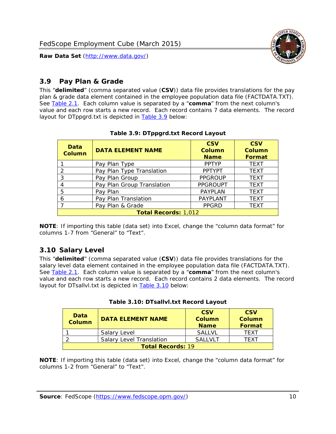

## <span id="page-10-0"></span>*3.9 Pay Plan & Grade*

<span id="page-10-4"></span>This "**delimited**" (comma separated value (**CSV**)) data file provides translations for the pay plan & grade data element contained in the employee population data file (FACTDATA.TXT). See [Table 2.1](#page-4-1). Each column value is separated by a "**comma**" from the next column's value and each row starts a new record. Each record contains 7 data elements. The record layout for DTppgrd.txt is depicted in **Table 3.9** below:

<span id="page-10-2"></span>

| Data<br><b>Column</b>       | <b>DATA ELEMENT NAME</b>   | <b>CSV</b><br>Column<br><b>Name</b> | <b>CSV</b><br>Column<br><b>Format</b> |  |
|-----------------------------|----------------------------|-------------------------------------|---------------------------------------|--|
|                             | Pay Plan Type              | <b>PPTYP</b>                        | <b>TEXT</b>                           |  |
| $\mathcal{P}$               | Pay Plan Type Translation  | <b>PPTYPT</b>                       | <b>TEXT</b>                           |  |
| 3                           | Pay Plan Group             | <b>PPGROUP</b>                      | <b>TEXT</b>                           |  |
|                             | Pay Plan Group Translation | <b>PPGROUPT</b>                     | <b>TEXT</b>                           |  |
| 5                           | Pay Plan                   | <b>PAYPLAN</b>                      | <b>TEXT</b>                           |  |
| 6                           | Pay Plan Translation       | PAYPLANT                            | <b>TEXT</b>                           |  |
|                             | Pay Plan & Grade           | <b>PPGRD</b>                        | <b>TEXT</b>                           |  |
| <b>Total Records: 1,012</b> |                            |                                     |                                       |  |

#### **Table 3.9: DTppgrd.txt Record Layout**

**NOTE**: If importing this table (data set) into Excel, change the "column data format" for columns 1-7 from "General" to "Text".

# <span id="page-10-1"></span>*3.10 Salary Level*

<span id="page-10-5"></span><span id="page-10-3"></span>This "**delimited**" (comma separated value (**CSV**)) data file provides translations for the salary level data element contained in the employee population data file (FACTDATA.TXT). See [Table 2.1](#page-4-1). Each column value is separated by a "**comma**" from the next column's value and each row starts a new record. Each record contains 2 data elements. The record layout for DTsallvl.txt is depicted in [Table 3.10](#page-10-5) below:

| <b>Data</b><br>Column    | <b>DATA ELEMENT NAME</b>        | <b>CSV</b><br>Column<br><b>Name</b> | <b>CSV</b><br>Column<br><b>Format</b> |
|--------------------------|---------------------------------|-------------------------------------|---------------------------------------|
|                          | Salary Level                    | <b>SALLVL</b>                       | TFXT                                  |
|                          | <b>Salary Level Translation</b> | SAI I VI T                          | TEXT                                  |
| <b>Total Records: 19</b> |                                 |                                     |                                       |

| Table 3.10: DTsallvl.txt Record Layout |
|----------------------------------------|
|----------------------------------------|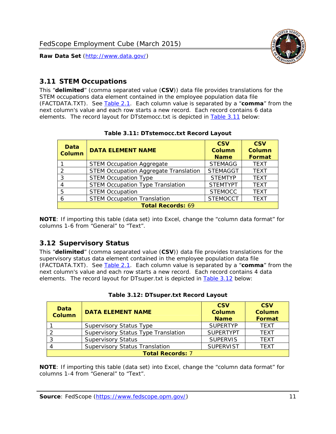

### <span id="page-11-0"></span>*3.11 STEM Occupations*

<span id="page-11-4"></span>This "**delimited**" (comma separated value (**CSV**)) data file provides translations for the STEM occupations data element contained in the employee population data file (FACTDATA.TXT). See [Table 2.1](#page-4-1). Each column value is separated by a "**comma**" from the next column's value and each row starts a new record. Each record contains 6 data elements. The record layout for DTstemocc.txt is depicted in [Table 3.11](#page-11-4) below:

<span id="page-11-2"></span>

| <b>Data</b><br><b>Column</b> | <b>DATA ELEMENT NAME</b>                     | <b>CSV</b><br><b>Column</b><br><b>Name</b> | <b>CSV</b><br><b>Column</b><br>Format |  |  |
|------------------------------|----------------------------------------------|--------------------------------------------|---------------------------------------|--|--|
|                              | <b>STEM Occupation Aggregate</b>             | <b>STEMAGG</b>                             | <b>TEXT</b>                           |  |  |
|                              | <b>STEM Occupation Aggregate Translation</b> | <b>STEMAGGT</b>                            | <b>TEXT</b>                           |  |  |
| 3                            | <b>STEM Occupation Type</b>                  | <b>STEMTYP</b>                             | <b>TFXT</b>                           |  |  |
|                              | <b>STEM Occupation Type Translation</b>      | <b>STEMTYPT</b>                            | <b>TEXT</b>                           |  |  |
| 5                            | <b>STEM Occupation</b>                       | <b>STEMOCC</b>                             | <b>TEXT</b>                           |  |  |
|                              | <b>STEM Occupation Translation</b>           | <b>STEMOCCT</b>                            | <b>TEXT</b>                           |  |  |
| <b>Total Records: 69</b>     |                                              |                                            |                                       |  |  |

#### **Table 3.11: DTstemocc.txt Record Layout**

**NOTE**: If importing this table (data set) into Excel, change the "column data format" for columns 1-6 from "General" to "Text".

# <span id="page-11-1"></span>*3.12 Supervisory Status*

This "**delimited**" (comma separated value (**CSV**)) data file provides translations for the supervisory status data element contained in the employee population data file (FACTDATA.TXT). See [Table 2.1](#page-4-1). Each column value is separated by a "**comma**" from the next column's value and each row starts a new record. Each record contains 4 data elements. The record layout for DTsuper.txt is depicted in [Table 3.12](#page-11-5) below:

<span id="page-11-5"></span><span id="page-11-3"></span>

| Data<br><b>Column</b>   | <b>DATA ELEMENT NAME</b>              | <b>CSV</b><br>Column<br><b>Name</b> | <b>CSV</b><br><b>Column</b><br>Format |  |  |
|-------------------------|---------------------------------------|-------------------------------------|---------------------------------------|--|--|
|                         | <b>Supervisory Status Type</b>        | <b>SUPFRTYP</b>                     | <b>TEXT</b>                           |  |  |
|                         | Supervisory Status Type Translation   | <b>SUPERTYPT</b>                    | <b>TEXT</b>                           |  |  |
|                         | <b>Supervisory Status</b>             | <b>SUPERVIS</b>                     | <b>TEXT</b>                           |  |  |
|                         | <b>Supervisory Status Translation</b> | <b>SUPERVIST</b>                    | <b>TEXT</b>                           |  |  |
| <b>Total Records: 7</b> |                                       |                                     |                                       |  |  |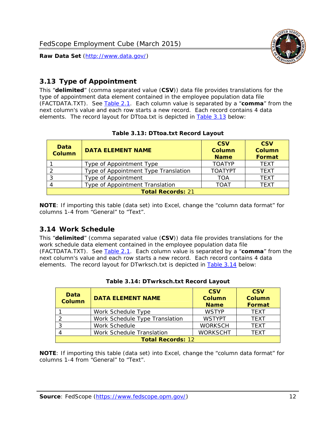

# <span id="page-12-0"></span>*3.13 Type of Appointment*

This "**delimited**" (comma separated value (**CSV**)) data file provides translations for the type of appointment data element contained in the employee population data file (FACTDATA.TXT). See [Table 2.1](#page-4-1). Each column value is separated by a "**comma**" from the next column's value and each row starts a new record. Each record contains 4 data elements. The record layout for DTtoa.txt is depicted in [Table 3.13](#page-12-4) below:

<span id="page-12-4"></span><span id="page-12-2"></span>

| Data<br><b>Column</b> | <b>DATA ELEMENT NAME</b>             | <b>CSV</b><br><b>Column</b><br><b>Name</b> | <b>CSV</b><br><b>Column</b><br>Format |
|-----------------------|--------------------------------------|--------------------------------------------|---------------------------------------|
|                       | Type of Appointment Type             | <b>TOATYP</b>                              | <b>TEXT</b>                           |
|                       | Type of Appointment Type Translation | <b>TOATYPT</b>                             | <b>TEXT</b>                           |
|                       | Type of Appointment                  | TOA                                        | <b>TEXT</b>                           |
|                       | Type of Appointment Translation      | <b>TOAT</b>                                | <b>TEXT</b>                           |
|                       | <b>Total Records: 21</b>             |                                            |                                       |

#### **Table 3.13: DTtoa.txt Record Layout**

**NOTE**: If importing this table (data set) into Excel, change the "column data format" for columns 1-4 from "General" to "Text".

#### <span id="page-12-1"></span>*3.14 Work Schedule*

<span id="page-12-5"></span>This "**delimited**" (comma separated value (**CSV**)) data file provides translations for the work schedule data element contained in the employee population data file (FACTDATA.TXT). See [Table 2.1](#page-4-1). Each column value is separated by a "**comma**" from the next column's value and each row starts a new record. Each record contains 4 data elements. The record layout for DTwrksch.txt is depicted in [Table 3.14](#page-12-5) below:

<span id="page-12-3"></span>

| Data<br>Column           | <b>DATA ELEMENT NAME</b>       | <b>CSV</b><br><b>Column</b><br><b>Name</b> | <b>CSV</b><br>Column<br><b>Format</b> |  |  |
|--------------------------|--------------------------------|--------------------------------------------|---------------------------------------|--|--|
|                          | Work Schedule Type             | <b>WSTYP</b>                               | <b>TEXT</b>                           |  |  |
| 2                        | Work Schedule Type Translation | <b>WSTYPT</b>                              | <b>TFXT</b>                           |  |  |
| 3                        | Work Schedule                  | <b>WORKSCH</b>                             | <b>TFXT</b>                           |  |  |
|                          | Work Schedule Translation      | <b>WORKSCHT</b>                            | <b>TFXT</b>                           |  |  |
| <b>Total Records: 12</b> |                                |                                            |                                       |  |  |

|  | Table 3.14: DTwrksch.txt Record Layout |  |
|--|----------------------------------------|--|
|  |                                        |  |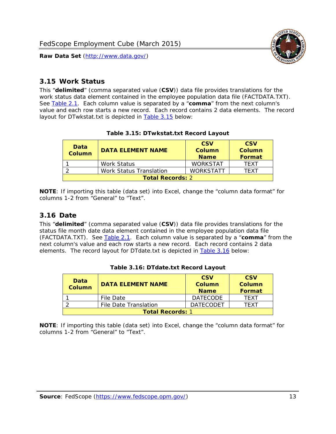

#### <span id="page-13-0"></span>*3.15 Work Status*

<span id="page-13-4"></span><span id="page-13-2"></span>This "**delimited**" (comma separated value (**CSV**)) data file provides translations for the work status data element contained in the employee population data file (FACTDATA.TXT). See [Table 2.1](#page-4-1). Each column value is separated by a "**comma**" from the next column's value and each row starts a new record. Each record contains 2 data elements. The record layout for DTwkstat.txt is depicted in [Table 3.15](#page-13-4) below:

| Data<br><b>Column</b>   | <b>DATA ELEMENT NAME</b>       | <b>CSV</b><br>Column<br><b>Name</b> | <b>CSV</b><br>Column<br>Format |
|-------------------------|--------------------------------|-------------------------------------|--------------------------------|
|                         | Work Status                    | <b>WORKSTAT</b>                     | TFXT                           |
|                         | <b>Work Status Translation</b> | <b>WORKSTATT</b>                    | TFXT                           |
| <b>Total Records: 2</b> |                                |                                     |                                |

#### **Table 3.15: DTwkstat.txt Record Layout**

**NOTE**: If importing this table (data set) into Excel, change the "column data format" for columns 1-2 from "General" to "Text".

#### <span id="page-13-1"></span>*3.16 Date*

<span id="page-13-5"></span><span id="page-13-3"></span>This "**delimited**" (comma separated value (**CSV**)) data file provides translations for the status file month date data element contained in the employee population data file (FACTDATA.TXT). See [Table 2.1](#page-4-1). Each column value is separated by a "**comma**" from the next column's value and each row starts a new record. Each record contains 2 data elements. The record layout for DTdate.txt is depicted in [Table 3.16](#page-13-5) below:

| Data<br><b>Column</b>   | <b>DATA ELEMENT NAME</b> | <b>CSV</b><br>Column<br><b>Name</b> | <b>CSV</b><br>Column<br><b>Format</b> |
|-------------------------|--------------------------|-------------------------------------|---------------------------------------|
|                         | File Date                | <b>DATECODE</b>                     | TFXT                                  |
|                         | File Date Translation    | <b>DATECODET</b>                    | TFXT                                  |
| <b>Total Records: 1</b> |                          |                                     |                                       |

**Table 3.16: DTdate.txt Record Layout**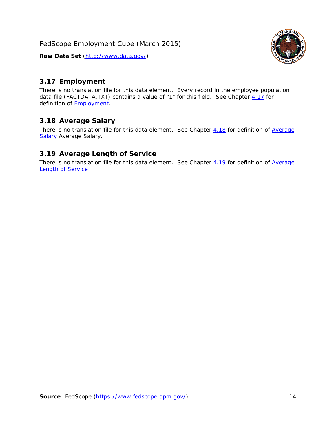<span id="page-14-0"></span>

There is no translation file for this data element. Every record in the employee population data file (FACTDATA.TXT) contains a value of "1" for this field. See Chapter [4.17](#page-16-8) for definition of **Employment**.

#### <span id="page-14-1"></span>*3.18 Average Salary*

There is no translation file for this data element. See Chapter [4.18](#page-17-1) for definition of [Average](#page-17-1) **[Salary](#page-17-1) [Average Salary.](#page-17-1)** 

#### <span id="page-14-2"></span>*3.19 Average Length of Service*

There is no translation file for this data element. See Chapter [4.19](#page-17-2) for definition of [Average](#page-17-2) Length of Service

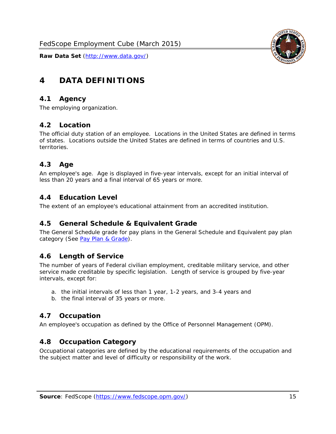

# <span id="page-15-0"></span>**4 DATA DEFINITIONS**

#### <span id="page-15-1"></span>*4.1 Agency*

The employing organization.

#### <span id="page-15-2"></span>*4.2 Location*

The official duty station of an employee. Locations in the United States are defined in terms of states. Locations outside the United States are defined in terms of countries and U.S. territories.

#### <span id="page-15-3"></span>*4.3 Age*

An employee's age. Age is displayed in five-year intervals, except for an initial interval of less than 20 years and a final interval of 65 years or more.

#### <span id="page-15-4"></span>*4.4 Education Level*

The extent of an employee's educational attainment from an accredited institution.

#### <span id="page-15-5"></span>*4.5 General Schedule & Equivalent Grade*

The General Schedule grade for pay plans in the General Schedule and Equivalent pay plan category (See [Pay Plan & Grade](#page-16-0)).

#### <span id="page-15-6"></span>*4.6 Length of Service*

The number of years of Federal civilian employment, creditable military service, and other service made creditable by specific legislation. Length of service is grouped by five-year intervals, except for:

- a. the initial intervals of less than 1 year, 1-2 years, and 3-4 years and
- b. the final interval of 35 years or more.

#### <span id="page-15-7"></span>*4.7 Occupation*

An employee's occupation as defined by the Office of Personnel Management (OPM).

#### <span id="page-15-8"></span>*4.8 Occupation Category*

Occupational categories are defined by the educational requirements of the occupation and the subject matter and level of difficulty or responsibility of the work.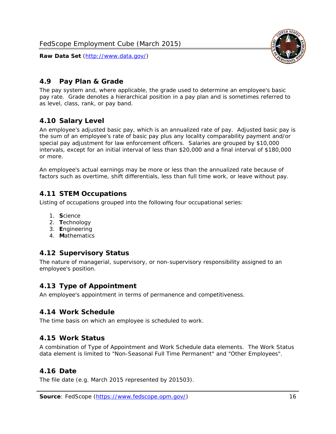

### <span id="page-16-0"></span>*4.9 Pay Plan & Grade*

The pay system and, where applicable, the grade used to determine an employee's basic pay rate. Grade denotes a hierarchical position in a pay plan and is sometimes referred to as level, class, rank, or pay band.

## <span id="page-16-1"></span>*4.10 Salary Level*

An employee's adjusted basic pay, which is an annualized rate of pay. Adjusted basic pay is the sum of an employee's rate of basic pay plus any locality comparability payment and/or special pay adjustment for law enforcement officers. Salaries are grouped by \$10,000 intervals, except for an initial interval of less than \$20,000 and a final interval of \$180,000 or more.

An employee's actual earnings may be more or less than the annualized rate because of factors such as overtime, shift differentials, less than full time work, or leave without pay.

#### <span id="page-16-2"></span>*4.11 STEM Occupations*

Listing of occupations grouped into the following four occupational series:

- 1. **S**cience
- 2. **T**echnology
- 3. **E**ngineering
- 4. **M**athematics

#### <span id="page-16-3"></span>*4.12 Supervisory Status*

The nature of managerial, supervisory, or non-supervisory responsibility assigned to an employee's position.

#### <span id="page-16-4"></span>*4.13 Type of Appointment*

An employee's appointment in terms of permanence and competitiveness.

#### <span id="page-16-5"></span>*4.14 Work Schedule*

The time basis on which an employee is scheduled to work.

#### <span id="page-16-6"></span>*4.15 Work Status*

A combination of Type of Appointment and Work Schedule data elements. The Work Status data element is limited to "Non-Seasonal Full Time Permanent" and "Other Employees".

#### <span id="page-16-7"></span>*4.16 Date*

<span id="page-16-8"></span>The file date (e.g. March 2015 represented by 201503).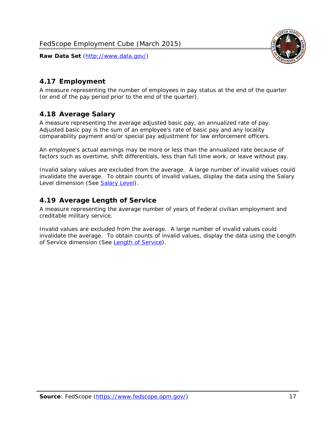

# <span id="page-17-0"></span>*4.17 Employment*

A measure representing the number of employees in pay status at the end of the quarter (or end of the pay period prior to the end of the quarter).

## <span id="page-17-1"></span>*4.18 Average Salary*

A measure representing the average adjusted basic pay, an annualized rate of pay. Adjusted basic pay is the sum of an employee's rate of basic pay and any locality comparability payment and/or special pay adjustment for law enforcement officers.

An employee's actual earnings may be more or less than the annualized rate because of factors such as overtime, shift differentials, less than full time work, or leave without pay.

Invalid salary values are excluded from the average. A large number of invalid values could invalidate the average. To obtain counts of invalid values, display the data using the Salary Level dimension (See [Salary Level\)](#page-16-1).

## <span id="page-17-2"></span>*4.19 Average Length of Service*

A measure representing the average number of years of Federal civilian employment and creditable military service.

Invalid values are excluded from the average. A large number of invalid values could invalidate the average. To obtain counts of invalid values, display the data using the Length of Service dimension (See [Length of Service](#page-15-6)).